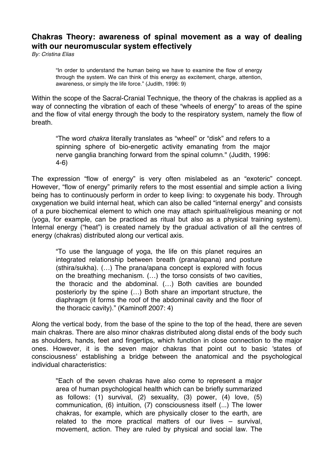## **Chakras Theory: awareness of spinal movement as a way of dealing with our neuromuscular system effectively**

*By: Cristina Elias*

"In order to understand the human being we have to examine the flow of energy through the system. We can think of this energy as excitement, charge, attention, awareness, or simply the life force." (Judith, 1996: 9)

Within the scope of the Sacral-Cranial Technique, the theory of the chakras is applied as a way of connecting the vibration of each of these "wheels of energy" to areas of the spine and the flow of vital energy through the body to the respiratory system, namely the flow of breath.

"The word *chakra* literally translates as "wheel" or "disk" and refers to a spinning sphere of bio-energetic activity emanating from the major nerve ganglia branching forward from the spinal column." (Judith, 1996: 4-6)

The expression "flow of energy" is very often mislabeled as an "exoteric" concept. However, "flow of energy" primarily refers to the most essential and simple action a living being has to continuously perform in order to keep living: to oxygenate his body. Through oxygenation we build internal heat, which can also be called "internal energy" and consists of a pure biochemical element to which one may attach spiritual/religious meaning or not (yoga, for example, can be practiced as ritual but also as a physical training system). Internal energy ("heat") is created namely by the gradual activation of all the centres of energy (chakras) distributed along our vertical axis.

"To use the language of yoga, the life on this planet requires an integrated relationship between breath (prana/apana) and posture (sthira/sukha). (…) The prana/apana concept is explored with focus on the breathing mechanism. (…) the torso consists of two cavities, the thoracic and the abdominal. (…) Both cavities are bounded posteriorly by the spine (…) Both share an important structure, the diaphragm (it forms the roof of the abdominal cavity and the floor of the thoracic cavity)." (Kaminoff 2007: 4)

Along the vertical body, from the base of the spine to the top of the head, there are seven main chakras. There are also minor chakras distributed along distal ends of the body such as shoulders, hands, feet and fingertips, which function in close connection to the major ones. However, it is the seven major chakras that point out to basic 'states of consciousness' establishing a bridge between the anatomical and the psychological individual characteristics:

"Each of the seven chakras have also come to represent a major area of human psychological health which can be briefly summarized as follows: (1) survival, (2) sexuality, (3) power, (4) love, (5) communication, (6) intuition, (7) consciousness itself (...) The lower chakras, for example, which are physically closer to the earth, are related to the more practical matters of our lives – survival, movement, action. They are ruled by physical and social law. The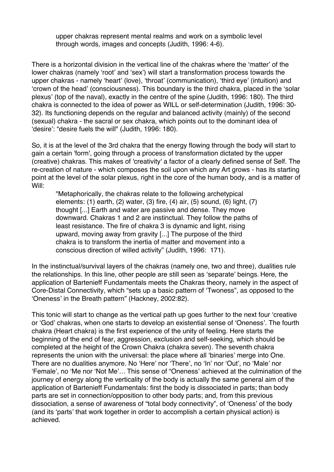upper chakras represent mental realms and work on a symbolic level through words, images and concepts (Judith, 1996: 4-6).

There is a horizontal division in the vertical line of the chakras where the 'matter' of the lower chakras (namely 'root' and 'sex') will start a transformation process towards the upper chakras - namely 'heart' (love), 'throat' (communication), 'third eye' (intuition) and 'crown of the head' (consciousness). This boundary is the third chakra, placed in the 'solar plexus' (top of the naval), exactly in the centre of the spine (Judith, 1996: 180). The third chakra is connected to the idea of power as WILL or self-determination (Judith, 1996: 30- 32). Its functioning depends on the regular and balanced activity (mainly) of the second (sexual) chakra - the sacral or sex chakra, which points out to the dominant idea of 'desire': "desire fuels the will" (Judith, 1996: 180).

So, it is at the level of the 3rd chakra that the energy flowing through the body will start to gain a certain 'form', going through a process of transformation dictated by the upper (creative) chakras. This makes of 'creativity' a factor of a clearly defined sense of Self. The re-creation of nature - which composes the soil upon which any Art grows - has its starting point at the level of the solar plexus, right in the core of the human body, and is a matter of Will:

"Metaphorically, the chakras relate to the following archetypical elements: (1) earth, (2) water, (3) fire, (4) air, (5) sound, (6) light, (7) thought [...] Earth and water are passive and dense. They move downward. Chakras 1 and 2 are instinctual. They follow the paths of least resistance. The fire of chakra 3 is dynamic and light, rising upward, moving away from gravity [...] The purpose of the third chakra is to transform the inertia of matter and movement into a conscious direction of willed activity" (Judith, 1996: 171).

In the instinctual/survival layers of the chakras (namely one, two and three), dualities rule the relationships. In this line, other people are still seen as 'separate' beings. Here, the application of Bartenieff Fundamentals meets the Chakras theory, namely in the aspect of Core-Distal Connectivity, which "sets up a basic pattern of 'Twoness", as opposed to the 'Oneness' in the Breath pattern" (Hackney, 2002:82).

This tonic will start to change as the vertical path up goes further to the next four 'creative or 'God' chakras, when one starts to develop an existential sense of 'Oneness'. The fourth chakra (Heart chakra) is the first experience of the unity of feeling. Here starts the beginning of the end of fear, aggression, exclusion and self-seeking, which should be completed at the height of the Crown Chakra (chakra seven). The seventh chakra represents the union with the universal: the place where all 'binaries' merge into One. There are no dualities anymore. No 'Here' nor 'There', no 'In' nor 'Out', no 'Male' nor 'Female', no 'Me nor 'Not Me'… This sense of "Oneness' achieved at the culmination of the journey of energy along the verticality of the body is actually the same general aim of the application of Bartenieff Fundamentals: first the body is dissociated in parts; than body parts are set in connection/opposition to other body parts; and, from this previous dissociation, a sense of awareness of "total body connectivity", of 'Oneness' of the body (and its 'parts' that work together in order to accomplish a certain physical action) is achieved.